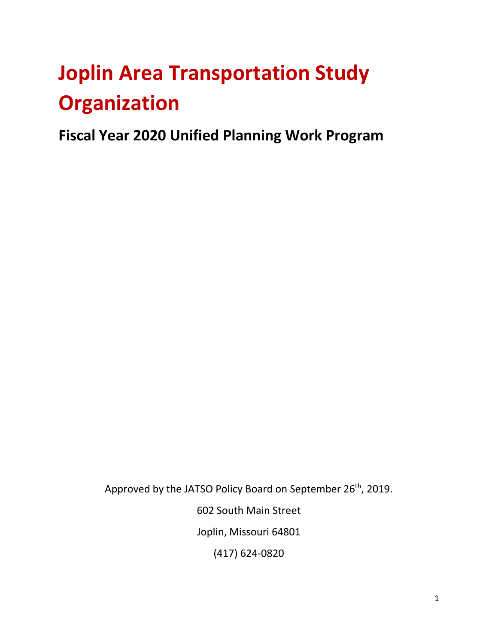# **Joplin Area Transportation Study Organization**

**Fiscal Year 2020 Unified Planning Work Program**

Approved by the JATSO Policy Board on September 26<sup>th</sup>, 2019. 602 South Main Street Joplin, Missouri 64801 (417) 624-0820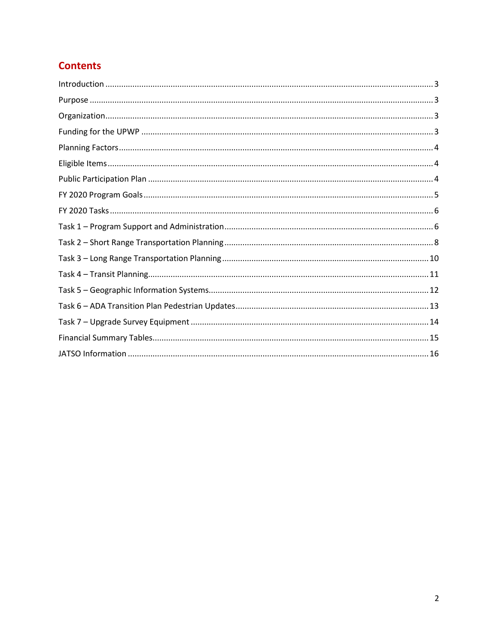# **Contents**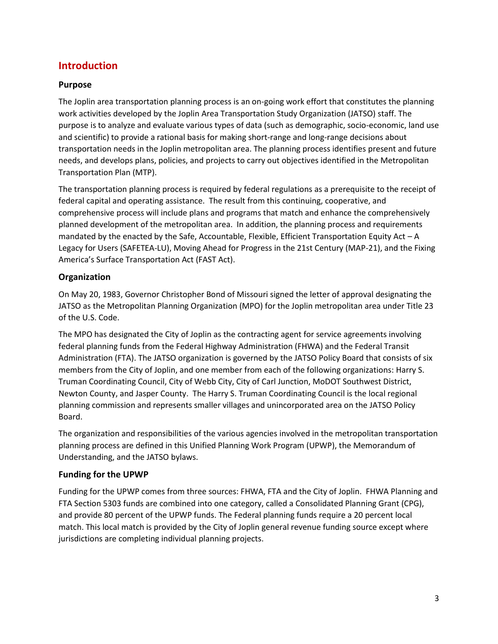# <span id="page-2-0"></span>**Introduction**

# <span id="page-2-1"></span>**Purpose**

The Joplin area transportation planning process is an on-going work effort that constitutes the planning work activities developed by the Joplin Area Transportation Study Organization (JATSO) staff. The purpose is to analyze and evaluate various types of data (such as demographic, socio-economic, land use and scientific) to provide a rational basis for making short-range and long-range decisions about transportation needs in the Joplin metropolitan area. The planning process identifies present and future needs, and develops plans, policies, and projects to carry out objectives identified in the Metropolitan Transportation Plan (MTP).

The transportation planning process is required by federal regulations as a prerequisite to the receipt of federal capital and operating assistance. The result from this continuing, cooperative, and comprehensive process will include plans and programs that match and enhance the comprehensively planned development of the metropolitan area. In addition, the planning process and requirements mandated by the enacted by the Safe, Accountable, Flexible, Efficient Transportation Equity Act – A Legacy for Users (SAFETEA-LU), Moving Ahead for Progress in the 21st Century (MAP-21), and the Fixing America's Surface Transportation Act (FAST Act).

# <span id="page-2-2"></span>**Organization**

On May 20, 1983, Governor Christopher Bond of Missouri signed the letter of approval designating the JATSO as the Metropolitan Planning Organization (MPO) for the Joplin metropolitan area under Title 23 of the U.S. Code.

The MPO has designated the City of Joplin as the contracting agent for service agreements involving federal planning funds from the Federal Highway Administration (FHWA) and the Federal Transit Administration (FTA). The JATSO organization is governed by the JATSO Policy Board that consists of six members from the City of Joplin, and one member from each of the following organizations: Harry S. Truman Coordinating Council, City of Webb City, City of Carl Junction, MoDOT Southwest District, Newton County, and Jasper County. The Harry S. Truman Coordinating Council is the local regional planning commission and represents smaller villages and unincorporated area on the JATSO Policy Board.

The organization and responsibilities of the various agencies involved in the metropolitan transportation planning process are defined in this Unified Planning Work Program (UPWP), the Memorandum of Understanding, and the JATSO bylaws.

# <span id="page-2-3"></span>**Funding for the UPWP**

Funding for the UPWP comes from three sources: FHWA, FTA and the City of Joplin. FHWA Planning and FTA Section 5303 funds are combined into one category, called a Consolidated Planning Grant (CPG), and provide 80 percent of the UPWP funds. The Federal planning funds require a 20 percent local match. This local match is provided by the City of Joplin general revenue funding source except where jurisdictions are completing individual planning projects.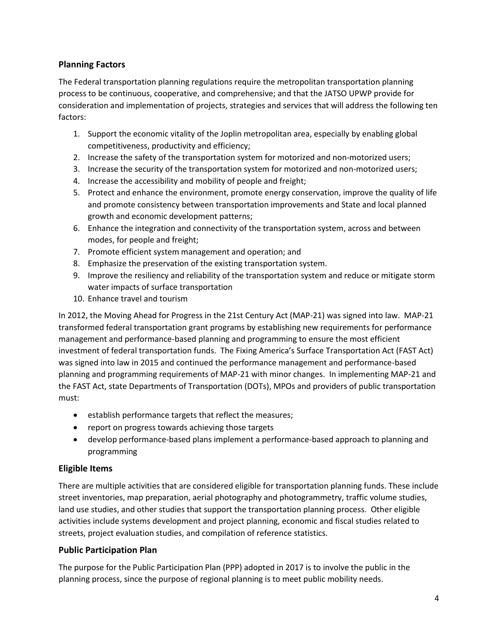# <span id="page-3-0"></span>**Planning Factors**

The Federal transportation planning regulations require the metropolitan transportation planning process to be continuous, cooperative, and comprehensive; and that the JATSO UPWP provide for consideration and implementation of projects, strategies and services that will address the following ten factors:

- 1. Support the economic vitality of the Joplin metropolitan area, especially by enabling global competitiveness, productivity and efficiency;
- 2. Increase the safety of the transportation system for motorized and non-motorized users;
- 3. Increase the security of the transportation system for motorized and non-motorized users;
- 4. Increase the accessibility and mobility of people and freight;
- 5. Protect and enhance the environment, promote energy conservation, improve the quality of life and promote consistency between transportation improvements and State and local planned growth and economic development patterns;
- 6. Enhance the integration and connectivity of the transportation system, across and between modes, for people and freight;
- 7. Promote efficient system management and operation; and
- 8. Emphasize the preservation of the existing transportation system.
- 9. Improve the resiliency and reliability of the transportation system and reduce or mitigate storm water impacts of surface transportation
- 10. Enhance travel and tourism

In 2012, the Moving Ahead for Progress in the 21st Century Act (MAP-21) was signed into law. MAP-21 transformed federal transportation grant programs by establishing new requirements for performance management and performance-based planning and programming to ensure the most efficient investment of federal transportation funds. The Fixing America's Surface Transportation Act (FAST Act) was signed into law in 2015 and continued the performance management and performance-based planning and programming requirements of MAP-21 with minor changes. In implementing MAP-21 and the FAST Act, state Departments of Transportation (DOTs), MPOs and providers of public transportation must:

- establish performance targets that reflect the measures;
- report on progress towards achieving those targets
- develop performance-based plans implement a performance-based approach to planning and programming

# <span id="page-3-1"></span>**Eligible Items**

There are multiple activities that are considered eligible for transportation planning funds. These include street inventories, map preparation, aerial photography and photogrammetry, traffic volume studies, land use studies, and other studies that support the transportation planning process. Other eligible activities include systems development and project planning, economic and fiscal studies related to streets, project evaluation studies, and compilation of reference statistics.

## <span id="page-3-2"></span>**Public Participation Plan**

The purpose for the Public Participation Plan (PPP) adopted in 2017 is to involve the public in the planning process, since the purpose of regional planning is to meet public mobility needs.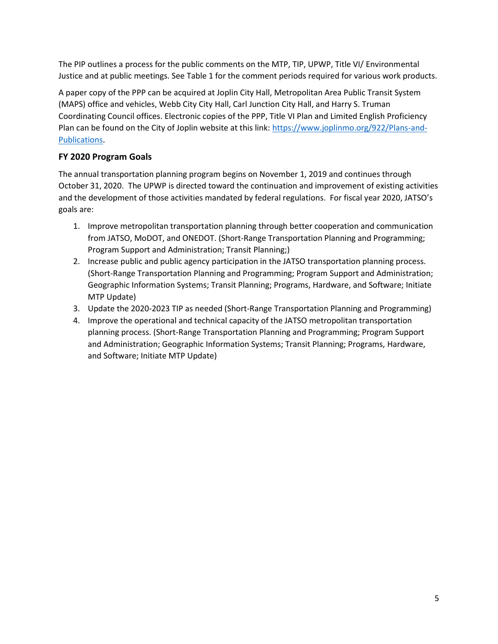The PIP outlines a process for the public comments on the MTP, TIP, UPWP, Title VI/ Environmental Justice and at public meetings. See Table 1 for the comment periods required for various work products.

A paper copy of the PPP can be acquired at Joplin City Hall, Metropolitan Area Public Transit System (MAPS) office and vehicles, Webb City City Hall, Carl Junction City Hall, and Harry S. Truman Coordinating Council offices. Electronic copies of the PPP, Title VI Plan and Limited English Proficiency Plan can be found on the City of Joplin website at this link: [https://www.joplinmo.org/922/Plans-and-](https://www.joplinmo.org/922/Plans-and-Publications)[Publications.](https://www.joplinmo.org/922/Plans-and-Publications)

# <span id="page-4-0"></span>**FY 2020 Program Goals**

The annual transportation planning program begins on November 1, 2019 and continues through October 31, 2020. The UPWP is directed toward the continuation and improvement of existing activities and the development of those activities mandated by federal regulations. For fiscal year 2020, JATSO's goals are:

- 1. Improve metropolitan transportation planning through better cooperation and communication from JATSO, MoDOT, and ONEDOT. (Short-Range Transportation Planning and Programming; Program Support and Administration; Transit Planning;)
- 2. Increase public and public agency participation in the JATSO transportation planning process. (Short-Range Transportation Planning and Programming; Program Support and Administration; Geographic Information Systems; Transit Planning; Programs, Hardware, and Software; Initiate MTP Update)
- 3. Update the 2020-2023 TIP as needed (Short-Range Transportation Planning and Programming)
- 4. Improve the operational and technical capacity of the JATSO metropolitan transportation planning process. (Short-Range Transportation Planning and Programming; Program Support and Administration; Geographic Information Systems; Transit Planning; Programs, Hardware, and Software; Initiate MTP Update)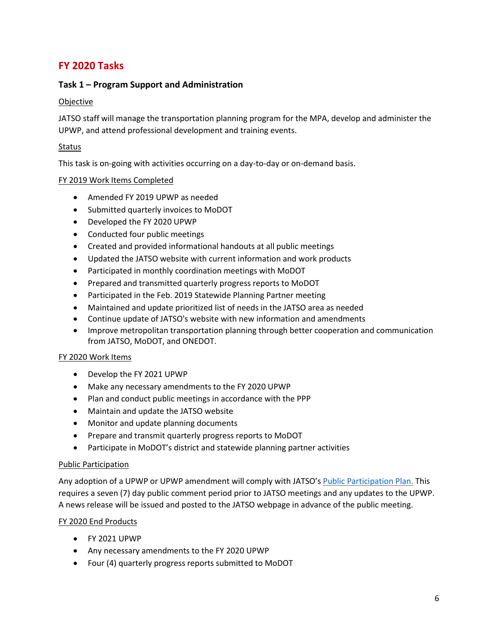# <span id="page-5-0"></span>**FY 2020 Tasks**

## <span id="page-5-1"></span>**Task 1 – Program Support and Administration**

#### Objective

JATSO staff will manage the transportation planning program for the MPA, develop and administer the UPWP, and attend professional development and training events.

#### **Status**

This task is on-going with activities occurring on a day-to-day or on-demand basis.

#### FY 2019 Work Items Completed

- Amended FY 2019 UPWP as needed
- Submitted quarterly invoices to MoDOT
- Developed the FY 2020 UPWP
- Conducted four public meetings
- Created and provided informational handouts at all public meetings
- Updated the JATSO website with current information and work products
- Participated in monthly coordination meetings with MoDOT
- Prepared and transmitted quarterly progress reports to MoDOT
- Participated in the Feb. 2019 Statewide Planning Partner meeting
- Maintained and update prioritized list of needs in the JATSO area as needed
- Continue update of JATSO's website with new information and amendments
- Improve metropolitan transportation planning through better cooperation and communication from JATSO, MoDOT, and ONEDOT.

#### FY 2020 Work Items

- Develop the FY 2021 UPWP
- Make any necessary amendments to the FY 2020 UPWP
- Plan and conduct public meetings in accordance with the PPP
- Maintain and update the JATSO website
- Monitor and update planning documents
- Prepare and transmit quarterly progress reports to MoDOT
- Participate in MoDOT's district and statewide planning partner activities

#### Public Participation

Any adoption of a UPWP or UPWP amendment will comply with JATSO's [Public Participation Plan.](https://www.joplinmo.org/947/Public-Participation) This requires a seven (7) day public comment period prior to JATSO meetings and any updates to the UPWP. A news release will be issued and posted to the JATSO webpage in advance of the public meeting.

#### FY 2020 End Products

- FY 2021 UPWP
- Any necessary amendments to the FY 2020 UPWP
- Four (4) quarterly progress reports submitted to MoDOT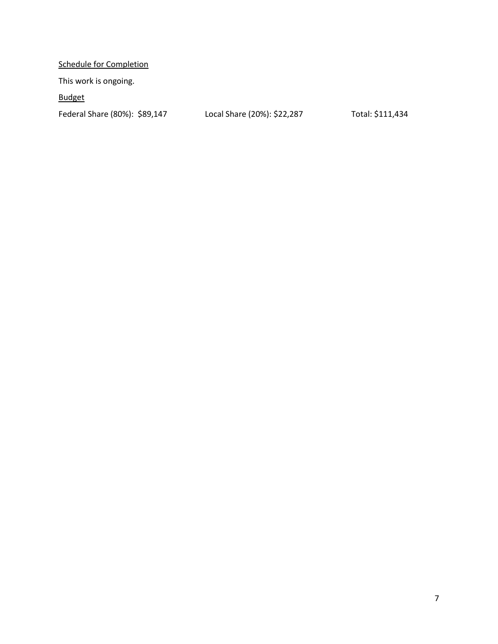Schedule for Completion

This work is ongoing.

Budget

Federal Share (80%): \$89,147 Local Share (20%): \$22,287 Total: \$111,434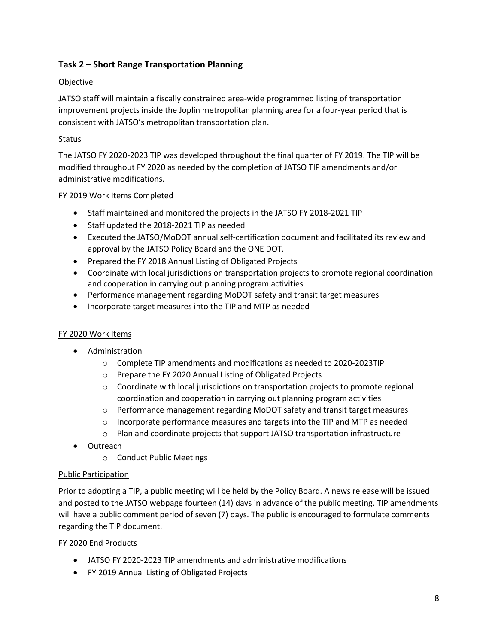# <span id="page-7-0"></span>**Task 2 – Short Range Transportation Planning**

# **Objective**

JATSO staff will maintain a fiscally constrained area-wide programmed listing of transportation improvement projects inside the Joplin metropolitan planning area for a four-year period that is consistent with JATSO's metropolitan transportation plan.

# Status

The JATSO FY 2020-2023 TIP was developed throughout the final quarter of FY 2019. The TIP will be modified throughout FY 2020 as needed by the completion of JATSO TIP amendments and/or administrative modifications.

## FY 2019 Work Items Completed

- Staff maintained and monitored the projects in the JATSO FY 2018-2021 TIP
- Staff updated the 2018-2021 TIP as needed
- Executed the JATSO/MoDOT annual self-certification document and facilitated its review and approval by the JATSO Policy Board and the ONE DOT.
- Prepared the FY 2018 Annual Listing of Obligated Projects
- Coordinate with local jurisdictions on transportation projects to promote regional coordination and cooperation in carrying out planning program activities
- Performance management regarding MoDOT safety and transit target measures
- Incorporate target measures into the TIP and MTP as needed

## FY 2020 Work Items

- Administration
	- o Complete TIP amendments and modifications as needed to 2020-2023TIP
	- o Prepare the FY 2020 Annual Listing of Obligated Projects
	- $\circ$  Coordinate with local jurisdictions on transportation projects to promote regional coordination and cooperation in carrying out planning program activities
	- o Performance management regarding MoDOT safety and transit target measures
	- $\circ$  Incorporate performance measures and targets into the TIP and MTP as needed
	- o Plan and coordinate projects that support JATSO transportation infrastructure
- Outreach
	- o Conduct Public Meetings

#### Public Participation

Prior to adopting a TIP, a public meeting will be held by the Policy Board. A news release will be issued and posted to the JATSO webpage fourteen (14) days in advance of the public meeting. TIP amendments will have a public comment period of seven (7) days. The public is encouraged to formulate comments regarding the TIP document.

#### FY 2020 End Products

- JATSO FY 2020-2023 TIP amendments and administrative modifications
- FY 2019 Annual Listing of Obligated Projects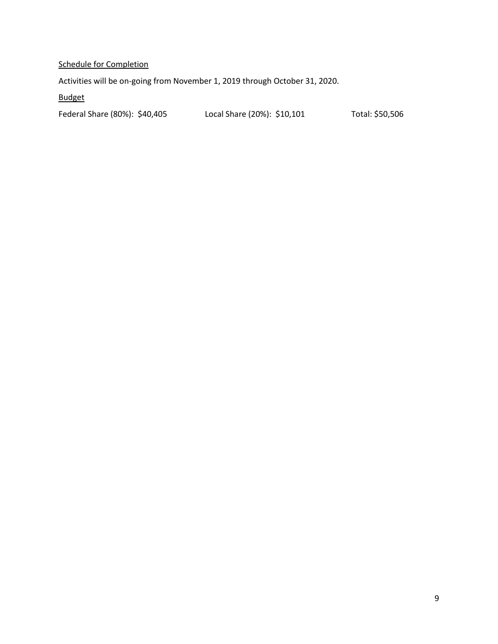# Schedule for Completion

Activities will be on-going from November 1, 2019 through October 31, 2020.

Budget

Federal Share (80%): \$40,405 Local Share (20%): \$10,101 Total: \$50,506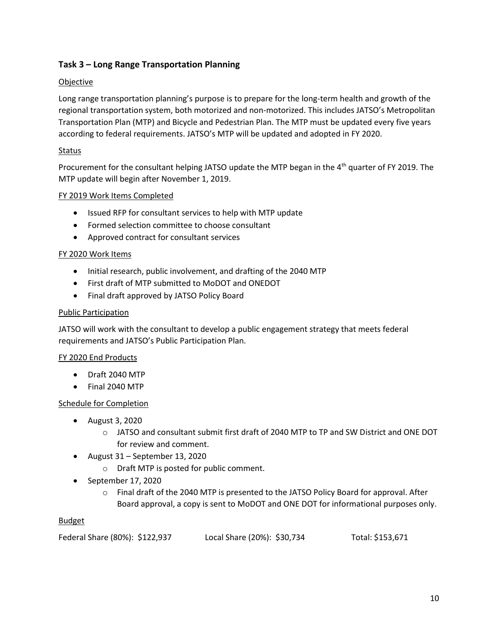# <span id="page-9-0"></span>**Task 3 – Long Range Transportation Planning**

# **Objective**

Long range transportation planning's purpose is to prepare for the long-term health and growth of the regional transportation system, both motorized and non-motorized. This includes JATSO's Metropolitan Transportation Plan (MTP) and Bicycle and Pedestrian Plan. The MTP must be updated every five years according to federal requirements. JATSO's MTP will be updated and adopted in FY 2020.

# **Status**

Procurement for the consultant helping JATSO update the MTP began in the 4<sup>th</sup> quarter of FY 2019. The MTP update will begin after November 1, 2019.

## FY 2019 Work Items Completed

- Issued RFP for consultant services to help with MTP update
- Formed selection committee to choose consultant
- Approved contract for consultant services

## FY 2020 Work Items

- Initial research, public involvement, and drafting of the 2040 MTP
- First draft of MTP submitted to MoDOT and ONEDOT
- Final draft approved by JATSO Policy Board

#### Public Participation

JATSO will work with the consultant to develop a public engagement strategy that meets federal requirements and JATSO's Public Participation Plan.

## FY 2020 End Products

- Draft 2040 MTP
- Final 2040 MTP

## Schedule for Completion

- August 3, 2020
	- $\circ$  JATSO and consultant submit first draft of 2040 MTP to TP and SW District and ONE DOT for review and comment.
- August 31 September 13, 2020
	- o Draft MTP is posted for public comment.
- September 17, 2020
	- o Final draft of the 2040 MTP is presented to the JATSO Policy Board for approval. After Board approval, a copy is sent to MoDOT and ONE DOT for informational purposes only.

| Federal Share (80%): \$122,937 | Local Share (20%): \$30,734 | Total: \$153,671 |
|--------------------------------|-----------------------------|------------------|
|--------------------------------|-----------------------------|------------------|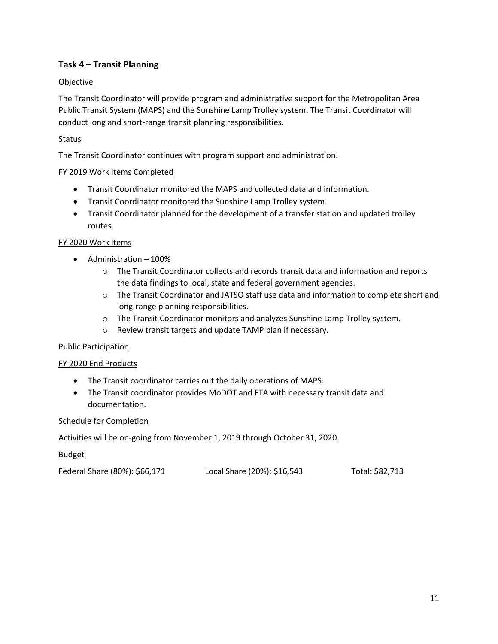# <span id="page-10-0"></span>**Task 4 – Transit Planning**

# **Objective**

The Transit Coordinator will provide program and administrative support for the Metropolitan Area Public Transit System (MAPS) and the Sunshine Lamp Trolley system. The Transit Coordinator will conduct long and short-range transit planning responsibilities.

# Status

The Transit Coordinator continues with program support and administration.

## FY 2019 Work Items Completed

- Transit Coordinator monitored the MAPS and collected data and information.
- Transit Coordinator monitored the Sunshine Lamp Trolley system.
- Transit Coordinator planned for the development of a transfer station and updated trolley routes.

#### FY 2020 Work Items

- Administration 100%
	- o The Transit Coordinator collects and records transit data and information and reports the data findings to local, state and federal government agencies.
	- o The Transit Coordinator and JATSO staff use data and information to complete short and long-range planning responsibilities.
	- o The Transit Coordinator monitors and analyzes Sunshine Lamp Trolley system.
	- o Review transit targets and update TAMP plan if necessary.

#### Public Participation

#### FY 2020 End Products

- The Transit coordinator carries out the daily operations of MAPS.
- The Transit coordinator provides MoDOT and FTA with necessary transit data and documentation.

#### Schedule for Completion

Activities will be on-going from November 1, 2019 through October 31, 2020.

| Federal Share (80%): \$66,171 | Local Share (20%): \$16,543 | Total: \$82,713 |
|-------------------------------|-----------------------------|-----------------|
|                               |                             |                 |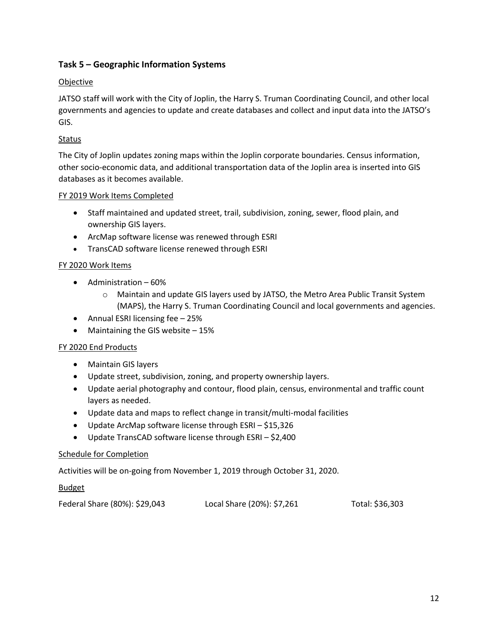# <span id="page-11-0"></span>**Task 5 – Geographic Information Systems**

#### **Objective**

JATSO staff will work with the City of Joplin, the Harry S. Truman Coordinating Council, and other local governments and agencies to update and create databases and collect and input data into the JATSO's GIS.

## Status

The City of Joplin updates zoning maps within the Joplin corporate boundaries. Census information, other socio-economic data, and additional transportation data of the Joplin area is inserted into GIS databases as it becomes available.

## FY 2019 Work Items Completed

- Staff maintained and updated street, trail, subdivision, zoning, sewer, flood plain, and ownership GIS layers.
- ArcMap software license was renewed through ESRI
- TransCAD software license renewed through ESRI

## FY 2020 Work Items

- Administration 60%
	- o Maintain and update GIS layers used by JATSO, the Metro Area Public Transit System (MAPS), the Harry S. Truman Coordinating Council and local governments and agencies.
- Annual ESRI licensing fee 25%
- Maintaining the GIS website 15%

## FY 2020 End Products

- Maintain GIS layers
- Update street, subdivision, zoning, and property ownership layers.
- Update aerial photography and contour, flood plain, census, environmental and traffic count layers as needed.
- Update data and maps to reflect change in transit/multi-modal facilities
- Update ArcMap software license through ESRI \$15,326
- Update TransCAD software license through ESRI \$2,400

## Schedule for Completion

Activities will be on-going from November 1, 2019 through October 31, 2020.

| Federal Share (80%): \$29,043 | Local Share (20%): \$7,261 | Total: \$36,303 |
|-------------------------------|----------------------------|-----------------|
|-------------------------------|----------------------------|-----------------|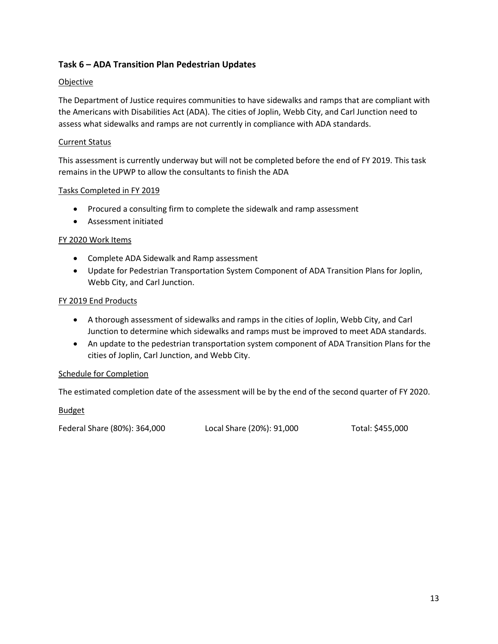# <span id="page-12-0"></span>**Task 6 – ADA Transition Plan Pedestrian Updates**

#### **Objective**

The Department of Justice requires communities to have sidewalks and ramps that are compliant with the Americans with Disabilities Act (ADA). The cities of Joplin, Webb City, and Carl Junction need to assess what sidewalks and ramps are not currently in compliance with ADA standards.

#### Current Status

This assessment is currently underway but will not be completed before the end of FY 2019. This task remains in the UPWP to allow the consultants to finish the ADA

#### Tasks Completed in FY 2019

- Procured a consulting firm to complete the sidewalk and ramp assessment
- Assessment initiated

#### FY 2020 Work Items

- Complete ADA Sidewalk and Ramp assessment
- Update for Pedestrian Transportation System Component of ADA Transition Plans for Joplin, Webb City, and Carl Junction.

#### FY 2019 End Products

- A thorough assessment of sidewalks and ramps in the cities of Joplin, Webb City, and Carl Junction to determine which sidewalks and ramps must be improved to meet ADA standards.
- An update to the pedestrian transportation system component of ADA Transition Plans for the cities of Joplin, Carl Junction, and Webb City.

#### Schedule for Completion

The estimated completion date of the assessment will be by the end of the second quarter of FY 2020.

#### **Budget**

Federal Share (80%): 364,000 Local Share (20%): 91,000 Total: \$455,000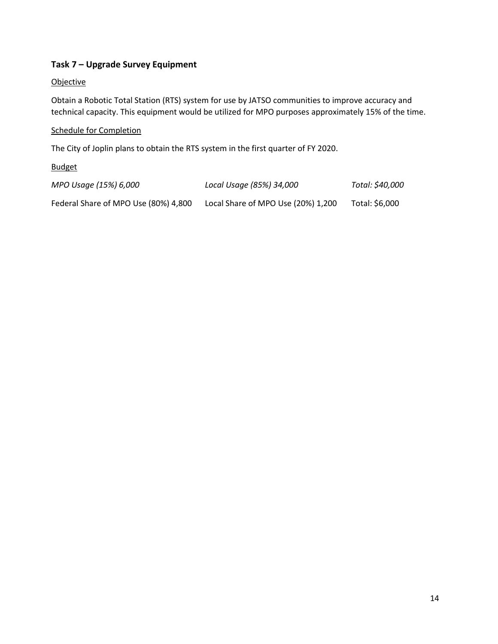# <span id="page-13-0"></span>**Task 7 – Upgrade Survey Equipment**

#### **Objective**

Obtain a Robotic Total Station (RTS) system for use by JATSO communities to improve accuracy and technical capacity. This equipment would be utilized for MPO purposes approximately 15% of the time.

#### Schedule for Completion

The City of Joplin plans to obtain the RTS system in the first quarter of FY 2020.

| MPO Usage (15%) 6,000                | Local Usage (85%) 34,000           | Total: \$40,000 |
|--------------------------------------|------------------------------------|-----------------|
| Federal Share of MPO Use (80%) 4,800 | Local Share of MPO Use (20%) 1,200 | Total: \$6,000  |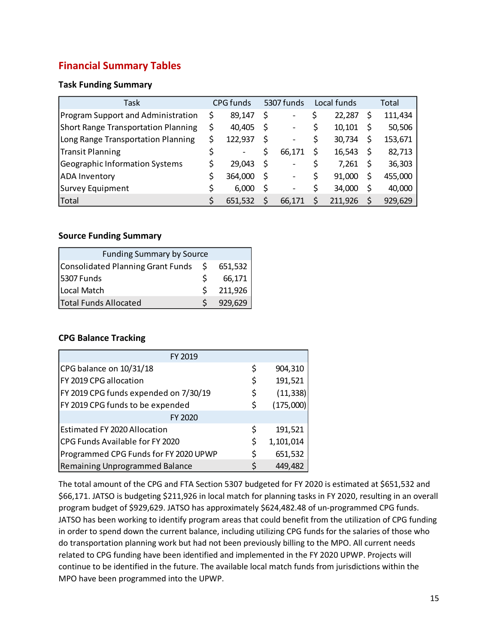# <span id="page-14-0"></span>**Financial Summary Tables**

# **Task Funding Summary**

| Task                                       | CPG funds     |   | 5307 funds               | Local funds  |   | Total   |
|--------------------------------------------|---------------|---|--------------------------|--------------|---|---------|
| Program Support and Administration         | \$<br>89,147  |   | $\qquad \qquad$          | 22,287       | S | 111,434 |
| <b>Short Range Transportation Planning</b> | \$<br>40,405  |   | $\overline{\phantom{a}}$ | 10,101       |   | 50,506  |
| Long Range Transportation Planning         | \$<br>122,937 | S | -                        | \$<br>30,734 |   | 153,671 |
| Transit Planning                           |               |   | 66,171                   | 16,543       |   | 82,713  |
| <b>Geographic Information Systems</b>      | 29,043        | S | $\overline{\phantom{0}}$ | 7,261        |   | 36,303  |
| <b>ADA Inventory</b>                       | 364,000       | S | -                        | 91,000       |   | 455,000 |
| Survey Equipment                           | 6,000         |   | $\overline{\phantom{0}}$ | \$<br>34,000 |   | 40,000  |
| Total                                      | 651.532       |   | 66.171                   | 211.926      |   | 929,629 |

#### **Source Funding Summary**

| <b>Funding Summary by Source</b>     |    |         |
|--------------------------------------|----|---------|
| Consolidated Planning Grant Funds \$ |    | 651,532 |
| 5307 Funds                           |    | 66,171  |
| Local Match                          | S. | 211,926 |
| <b>Total Funds Allocated</b>         |    | 929,629 |

## **CPG Balance Tracking**

| FY 2019                               |                 |
|---------------------------------------|-----------------|
| CPG balance on 10/31/18               | \$<br>904,310   |
| FY 2019 CPG allocation                | \$<br>191,521   |
| FY 2019 CPG funds expended on 7/30/19 | \$<br>(11, 338) |
| FY 2019 CPG funds to be expended      | \$<br>(175,000) |
| FY 2020                               |                 |
| <b>Estimated FY 2020 Allocation</b>   | \$<br>191,521   |
| CPG Funds Available for FY 2020       | \$<br>1,101,014 |
| Programmed CPG Funds for FY 2020 UPWP | \$<br>651,532   |
| <b>Remaining Unprogrammed Balance</b> | \$<br>449,482   |

The total amount of the CPG and FTA Section 5307 budgeted for FY 2020 is estimated at \$651,532 and \$66,171. JATSO is budgeting \$211,926 in local match for planning tasks in FY 2020, resulting in an overall program budget of \$929,629. JATSO has approximately \$624,482.48 of un-programmed CPG funds. JATSO has been working to identify program areas that could benefit from the utilization of CPG funding in order to spend down the current balance, including utilizing CPG funds for the salaries of those who do transportation planning work but had not been previously billing to the MPO. All current needs related to CPG funding have been identified and implemented in the FY 2020 UPWP. Projects will continue to be identified in the future. The available local match funds from jurisdictions within the MPO have been programmed into the UPWP.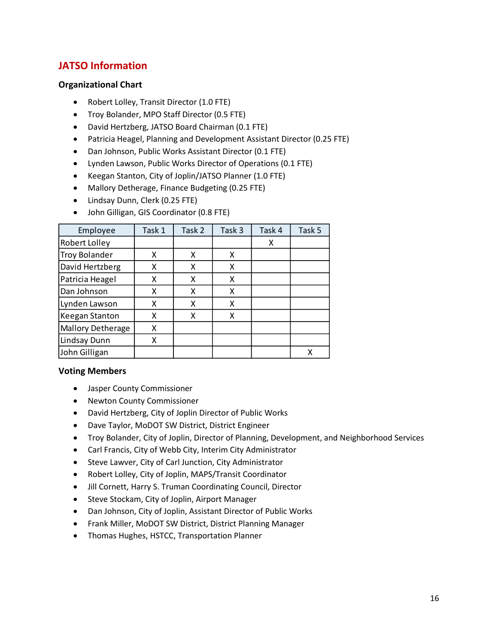# <span id="page-15-0"></span>**JATSO Information**

## **Organizational Chart**

- Robert Lolley, Transit Director (1.0 FTE)
- Troy Bolander, MPO Staff Director (0.5 FTE)
- David Hertzberg, JATSO Board Chairman (0.1 FTE)
- Patricia Heagel, Planning and Development Assistant Director (0.25 FTE)
- Dan Johnson, Public Works Assistant Director (0.1 FTE)
- Lynden Lawson, Public Works Director of Operations (0.1 FTE)
- Keegan Stanton, City of Joplin/JATSO Planner (1.0 FTE)
- Mallory Detherage, Finance Budgeting (0.25 FTE)
- Lindsay Dunn, Clerk (0.25 FTE)
- John Gilligan, GIS Coordinator (0.8 FTE)

| Employee                 | Task 1 | Task 2 | Task 3 | Task 4 | Task 5 |
|--------------------------|--------|--------|--------|--------|--------|
| Robert Lolley            |        |        |        | Χ      |        |
| <b>Troy Bolander</b>     | X      | x      | x      |        |        |
| David Hertzberg          | X      | x      | x      |        |        |
| Patricia Heagel          | X      | X      | x      |        |        |
| Dan Johnson              | X      | Χ      | x      |        |        |
| Lynden Lawson            | X      | χ      | x      |        |        |
| Keegan Stanton           | X      | χ      | Χ      |        |        |
| <b>Mallory Detherage</b> | X      |        |        |        |        |
| Lindsay Dunn             | Χ      |        |        |        |        |
| John Gilligan            |        |        |        |        |        |

#### **Voting Members**

- Jasper County Commissioner
- Newton County Commissioner
- David Hertzberg, City of Joplin Director of Public Works
- Dave Taylor, MoDOT SW District, District Engineer
- Troy Bolander, City of Joplin, Director of Planning, Development, and Neighborhood Services
- Carl Francis, City of Webb City, Interim City Administrator
- Steve Lawver, City of Carl Junction, City Administrator
- Robert Lolley, City of Joplin, MAPS/Transit Coordinator
- Jill Cornett, Harry S. Truman Coordinating Council, Director
- Steve Stockam, City of Joplin, Airport Manager
- Dan Johnson, City of Joplin, Assistant Director of Public Works
- Frank Miller, MoDOT SW District, District Planning Manager
- Thomas Hughes, HSTCC, Transportation Planner